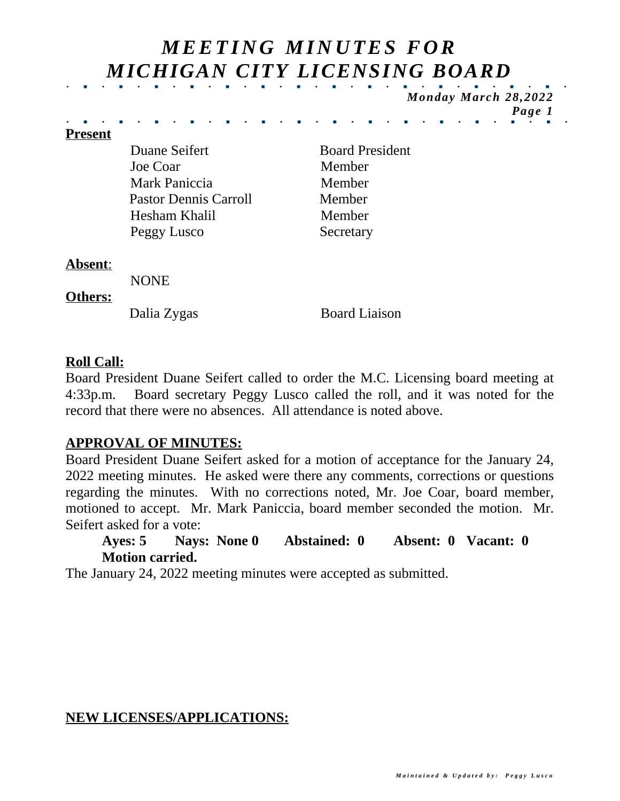# *M EETI N G M I N U TES F O R MICHIGAN CITY LICENSING BOARD*

*Monday March 28,2022 Page 1*

#### **Present**

Duane Seifert Board President Joe Coar Member Mark Paniccia Member Pastor Dennis Carroll Member Hesham Khalil Member Peggy Lusco Secretary

#### **Absent**:

NONE

#### **Others:**

Dalia Zygas Board Liaison

# **Roll Call:**

Board President Duane Seifert called to order the M.C. Licensing board meeting at 4:33p.m. Board secretary Peggy Lusco called the roll, and it was noted for the record that there were no absences. All attendance is noted above.

# **APPROVAL OF MINUTES:**

Board President Duane Seifert asked for a motion of acceptance for the January 24, 2022 meeting minutes. He asked were there any comments, corrections or questions regarding the minutes. With no corrections noted, Mr. Joe Coar, board member, motioned to accept. Mr. Mark Paniccia, board member seconded the motion. Mr. Seifert asked for a vote:

#### **Ayes: 5 Nays: None 0 Abstained: 0 Absent: 0 Vacant: 0 Motion carried.**

The January 24, 2022 meeting minutes were accepted as submitted.

#### **NEW LICENSES/APPLICATIONS:**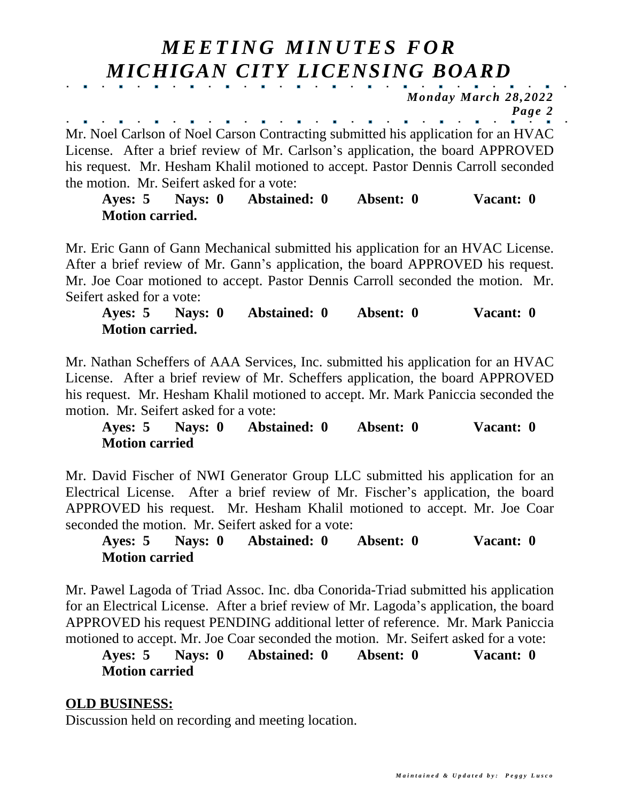# *M EETI N G M I N U TES F O R MICHIGAN CITY LICENSING BOARD*

*Monday March 28,2022 Page 2*

and the company of the company of the  $\sim$   $\sim$ Mr. Noel Carlson of Noel Carson Contracting submitted his application for an HVAC License. After a brief review of Mr. Carlson's application, the board APPROVED his request. Mr. Hesham Khalil motioned to accept. Pastor Dennis Carroll seconded the motion. Mr. Seifert asked for a vote:

**Ayes: 5 Nays: 0 Abstained: 0 Absent: 0 Vacant: 0 Motion carried.**

Mr. Eric Gann of Gann Mechanical submitted his application for an HVAC License. After a brief review of Mr. Gann's application, the board APPROVED his request. Mr. Joe Coar motioned to accept. Pastor Dennis Carroll seconded the motion. Mr. Seifert asked for a vote:

**Ayes: 5 Nays: 0 Abstained: 0 Absent: 0 Vacant: 0 Motion carried.**

Mr. Nathan Scheffers of AAA Services, Inc. submitted his application for an HVAC License. After a brief review of Mr. Scheffers application, the board APPROVED his request. Mr. Hesham Khalil motioned to accept. Mr. Mark Paniccia seconded the motion. Mr. Seifert asked for a vote:

**Ayes: 5 Nays: 0 Abstained: 0 Absent: 0 Vacant: 0 Motion carried**

Mr. David Fischer of NWI Generator Group LLC submitted his application for an Electrical License. After a brief review of Mr. Fischer's application, the board APPROVED his request. Mr. Hesham Khalil motioned to accept. Mr. Joe Coar seconded the motion. Mr. Seifert asked for a vote:

**Ayes: 5 Nays: 0 Abstained: 0 Absent: 0 Vacant: 0 Motion carried**

Mr. Pawel Lagoda of Triad Assoc. Inc. dba Conorida-Triad submitted his application for an Electrical License. After a brief review of Mr. Lagoda's application, the board APPROVED his request PENDING additional letter of reference. Mr. Mark Paniccia motioned to accept. Mr. Joe Coar seconded the motion. Mr. Seifert asked for a vote:

### **Ayes: 5 Nays: 0 Abstained: 0 Absent: 0 Vacant: 0 Motion carried**

# **OLD BUSINESS:**

Discussion held on recording and meeting location.